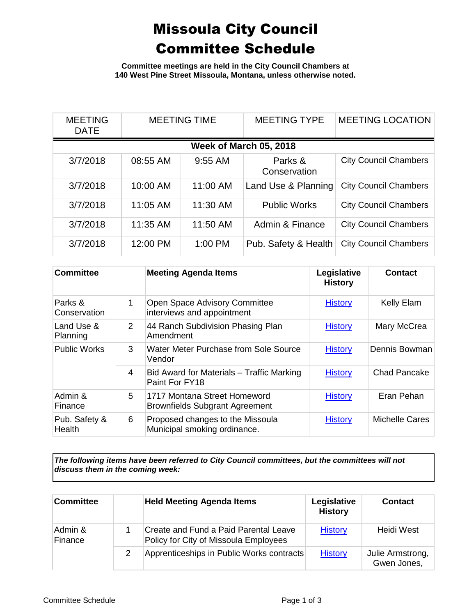## Missoula City Council Committee Schedule

**Committee meetings are held in the City Council Chambers at 140 West Pine Street Missoula, Montana, unless otherwise noted.**

| <b>MEETING</b><br><b>DATE</b> | <b>MEETING TIME</b> |           | <b>MEETING TYPE</b>     | <b>MEETING LOCATION</b>      |  |
|-------------------------------|---------------------|-----------|-------------------------|------------------------------|--|
| Week of March 05, 2018        |                     |           |                         |                              |  |
| 3/7/2018                      | 08:55 AM            | $9:55$ AM | Parks &<br>Conservation | <b>City Council Chambers</b> |  |
| 3/7/2018                      | 10:00 AM            | 11:00 AM  | Land Use & Planning     | <b>City Council Chambers</b> |  |
| 3/7/2018                      | 11:05 AM            | 11:30 AM  | <b>Public Works</b>     | <b>City Council Chambers</b> |  |
| 3/7/2018                      | 11:35 AM            | 11:50 AM  | Admin & Finance         | <b>City Council Chambers</b> |  |
| 3/7/2018                      | 12:00 PM            | $1:00$ PM | Pub. Safety & Health    | <b>City Council Chambers</b> |  |

| <b>Committee</b>               |                | <b>Meeting Agenda Items</b>                                           | Legislative<br><b>History</b> | <b>Contact</b>      |
|--------------------------------|----------------|-----------------------------------------------------------------------|-------------------------------|---------------------|
| Parks &<br>Conservation        | 1              | Open Space Advisory Committee<br>interviews and appointment           | <b>History</b>                | Kelly Elam          |
| Land Use &<br>Planning         | $\overline{2}$ | 44 Ranch Subdivision Phasing Plan<br>Amendment                        | <b>History</b>                | Mary McCrea         |
| <b>Public Works</b>            | 3              | Water Meter Purchase from Sole Source<br>Vendor                       | <b>History</b>                | Dennis Bowman       |
|                                | $\overline{4}$ | Bid Award for Materials - Traffic Marking<br>Paint For FY18           | <b>History</b>                | <b>Chad Pancake</b> |
| Admin &<br>Finance             | 5              | 1717 Montana Street Homeword<br><b>Brownfields Subgrant Agreement</b> | <b>History</b>                | Eran Pehan          |
| Pub. Safety &<br><b>Health</b> | 6              | Proposed changes to the Missoula<br>Municipal smoking ordinance.      | <b>History</b>                | Michelle Cares      |

*The following items have been referred to City Council committees, but the committees will not discuss them in the coming week:*

| <b>Committee</b>   | <b>Held Meeting Agenda Items</b>                                               | Legislative<br><b>History</b> | Contact                         |
|--------------------|--------------------------------------------------------------------------------|-------------------------------|---------------------------------|
| Admin &<br>Finance | Create and Fund a Paid Parental Leave<br>Policy for City of Missoula Employees | <b>History</b>                | Heidi West                      |
|                    | Apprenticeships in Public Works contracts                                      | <b>History</b>                | Julie Armstrong,<br>Gwen Jones, |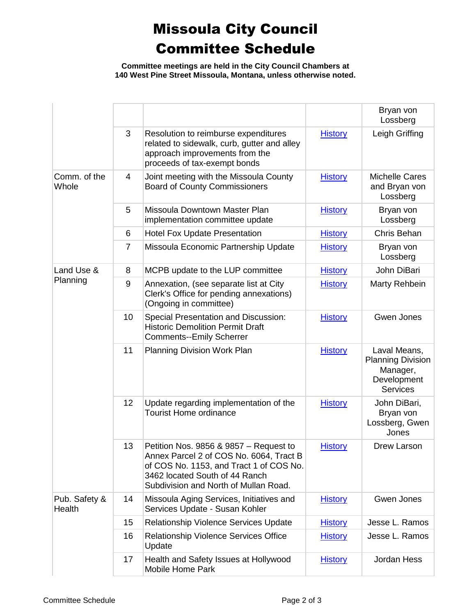## Missoula City Council Committee Schedule

**Committee meetings are held in the City Council Chambers at 140 West Pine Street Missoula, Montana, unless otherwise noted.**

|                         |    |                                                                                                                                                                                                         |                | Bryan von<br>Lossberg                                                                  |
|-------------------------|----|---------------------------------------------------------------------------------------------------------------------------------------------------------------------------------------------------------|----------------|----------------------------------------------------------------------------------------|
|                         | 3  | Resolution to reimburse expenditures<br>related to sidewalk, curb, gutter and alley<br>approach improvements from the<br>proceeds of tax-exempt bonds                                                   | <b>History</b> | Leigh Griffing                                                                         |
| Comm. of the<br>Whole   | 4  | Joint meeting with the Missoula County<br><b>Board of County Commissioners</b>                                                                                                                          | <b>History</b> | <b>Michelle Cares</b><br>and Bryan von<br>Lossberg                                     |
|                         | 5  | Missoula Downtown Master Plan<br>implementation committee update                                                                                                                                        | <b>History</b> | Bryan von<br>Lossberg                                                                  |
|                         | 6  | <b>Hotel Fox Update Presentation</b>                                                                                                                                                                    | <b>History</b> | Chris Behan                                                                            |
|                         | 7  | Missoula Economic Partnership Update                                                                                                                                                                    | <b>History</b> | Bryan von<br>Lossberg                                                                  |
| Land Use &              | 8  | MCPB update to the LUP committee                                                                                                                                                                        | <b>History</b> | John DiBari                                                                            |
| Planning                | 9  | Annexation, (see separate list at City<br>Clerk's Office for pending annexations)<br>(Ongoing in committee)                                                                                             | <b>History</b> | Marty Rehbein                                                                          |
|                         | 10 | <b>Special Presentation and Discussion:</b><br><b>Historic Demolition Permit Draft</b><br><b>Comments--Emily Scherrer</b>                                                                               | <b>History</b> | Gwen Jones                                                                             |
|                         | 11 | <b>Planning Division Work Plan</b>                                                                                                                                                                      | <b>History</b> | Laval Means,<br><b>Planning Division</b><br>Manager,<br>Development<br><b>Services</b> |
|                         | 12 | Update regarding implementation of the<br><b>Tourist Home ordinance</b>                                                                                                                                 | <b>History</b> | John DiBari,<br>Bryan von<br>Lossberg, Gwen<br>Jones                                   |
|                         | 13 | Petition Nos. 9856 & 9857 – Request to<br>Annex Parcel 2 of COS No. 6064, Tract B<br>of COS No. 1153, and Tract 1 of COS No.<br>3462 located South of 44 Ranch<br>Subdivision and North of Mullan Road. | <b>History</b> | Drew Larson                                                                            |
| Pub. Safety &<br>Health | 14 | Missoula Aging Services, Initiatives and<br>Services Update - Susan Kohler                                                                                                                              | <b>History</b> | Gwen Jones                                                                             |
|                         | 15 | Relationship Violence Services Update                                                                                                                                                                   | <b>History</b> | Jesse L. Ramos                                                                         |
|                         | 16 | Relationship Violence Services Office<br>Update                                                                                                                                                         | <b>History</b> | Jesse L. Ramos                                                                         |
|                         | 17 | Health and Safety Issues at Hollywood<br>Mobile Home Park                                                                                                                                               | <b>History</b> | Jordan Hess                                                                            |